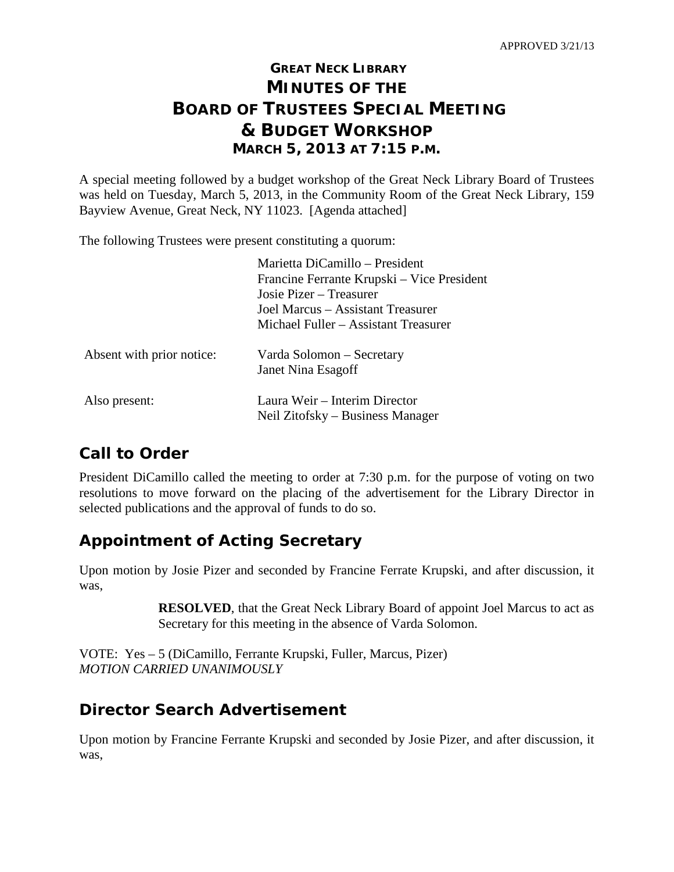# **GREAT NECK LIBRARY MINUTES OF THE BOARD OF TRUSTEES SPECIAL MEETING & BUDGET WORKSHOP MARCH 5, 2013 AT 7:15 P.M.**

A special meeting followed by a budget workshop of the Great Neck Library Board of Trustees was held on Tuesday, March 5, 2013, in the Community Room of the Great Neck Library, 159 Bayview Avenue, Great Neck, NY 11023. [Agenda attached]

The following Trustees were present constituting a quorum:

| Marietta DiCamillo – President             |
|--------------------------------------------|
| Francine Ferrante Krupski – Vice President |
| Josie Pizer – Treasurer                    |
| Joel Marcus – Assistant Treasurer          |
| Michael Fuller – Assistant Treasurer       |
| Varda Solomon – Secretary                  |
| Janet Nina Esagoff                         |
| Laura Weir – Interim Director              |
| Neil Zitofsky – Business Manager           |
|                                            |

# **Call to Order**

President DiCamillo called the meeting to order at 7:30 p.m. for the purpose of voting on two resolutions to move forward on the placing of the advertisement for the Library Director in selected publications and the approval of funds to do so.

# **Appointment of Acting Secretary**

Upon motion by Josie Pizer and seconded by Francine Ferrate Krupski, and after discussion, it was,

> **RESOLVED**, that the Great Neck Library Board of appoint Joel Marcus to act as Secretary for this meeting in the absence of Varda Solomon.

VOTE: Yes – 5 (DiCamillo, Ferrante Krupski, Fuller, Marcus, Pizer) *MOTION CARRIED UNANIMOUSLY*

# **Director Search Advertisement**

Upon motion by Francine Ferrante Krupski and seconded by Josie Pizer, and after discussion, it was,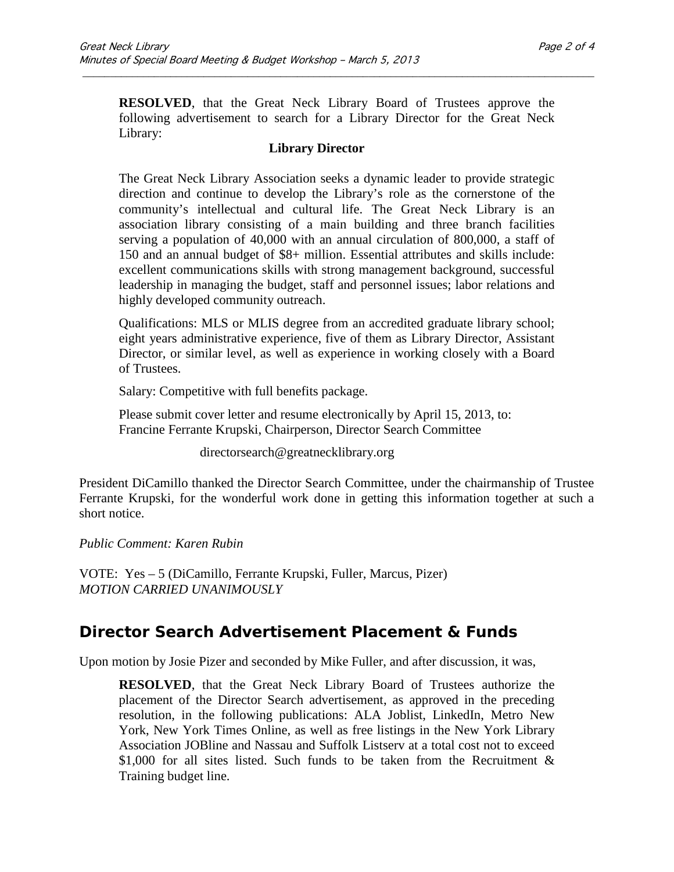**RESOLVED**, that the Great Neck Library Board of Trustees approve the following advertisement to search for a Library Director for the Great Neck Library:

\_\_\_\_\_\_\_\_\_\_\_\_\_\_\_\_\_\_\_\_\_\_\_\_\_\_\_\_\_\_\_\_\_\_\_\_\_\_\_\_\_\_\_\_\_\_\_\_\_\_\_\_\_\_\_\_\_\_\_\_\_\_\_\_\_\_\_\_\_\_\_\_\_\_\_\_\_\_\_\_\_\_\_\_\_\_\_\_\_\_\_\_\_

#### **Library Director**

The Great Neck Library Association seeks a dynamic leader to provide strategic direction and continue to develop the Library's role as the cornerstone of the community's intellectual and cultural life. The Great Neck Library is an association library consisting of a main building and three branch facilities serving a population of 40,000 with an annual circulation of 800,000, a staff of 150 and an annual budget of \$8+ million. Essential attributes and skills include: excellent communications skills with strong management background, successful leadership in managing the budget, staff and personnel issues; labor relations and highly developed community outreach.

Qualifications: MLS or MLIS degree from an accredited graduate library school; eight years administrative experience, five of them as Library Director, Assistant Director, or similar level, as well as experience in working closely with a Board of Trustees.

Salary: Competitive with full benefits package.

Please submit cover letter and resume electronically by April 15, 2013, to: Francine Ferrante Krupski, Chairperson, Director Search Committee

[directorsearch@greatnecklibrary.org](mailto:directorsearch@greatnecklibrary.org)

President DiCamillo thanked the Director Search Committee, under the chairmanship of Trustee Ferrante Krupski, for the wonderful work done in getting this information together at such a short notice.

*Public Comment: Karen Rubin*

VOTE: Yes – 5 (DiCamillo, Ferrante Krupski, Fuller, Marcus, Pizer) *MOTION CARRIED UNANIMOUSLY*

### **Director Search Advertisement Placement & Funds**

Upon motion by Josie Pizer and seconded by Mike Fuller, and after discussion, it was,

**RESOLVED**, that the Great Neck Library Board of Trustees authorize the placement of the Director Search advertisement, as approved in the preceding resolution, in the following publications: ALA Joblist, LinkedIn, Metro New York, New York Times Online, as well as free listings in the New York Library Association JOBline and Nassau and Suffolk Listserv at a total cost not to exceed \$1,000 for all sites listed. Such funds to be taken from the Recruitment  $\&$ Training budget line.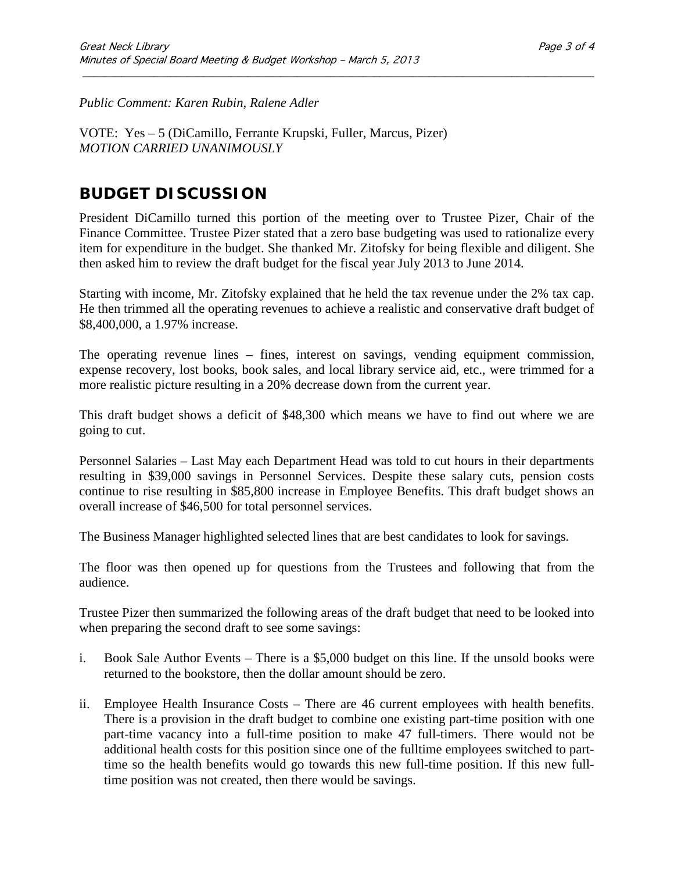*Public Comment: Karen Rubin, Ralene Adler*

VOTE: Yes – 5 (DiCamillo, Ferrante Krupski, Fuller, Marcus, Pizer) *MOTION CARRIED UNANIMOUSLY*

### **BUDGET DISCUSSION**

President DiCamillo turned this portion of the meeting over to Trustee Pizer, Chair of the Finance Committee. Trustee Pizer stated that a zero base budgeting was used to rationalize every item for expenditure in the budget. She thanked Mr. Zitofsky for being flexible and diligent. She then asked him to review the draft budget for the fiscal year July 2013 to June 2014.

\_\_\_\_\_\_\_\_\_\_\_\_\_\_\_\_\_\_\_\_\_\_\_\_\_\_\_\_\_\_\_\_\_\_\_\_\_\_\_\_\_\_\_\_\_\_\_\_\_\_\_\_\_\_\_\_\_\_\_\_\_\_\_\_\_\_\_\_\_\_\_\_\_\_\_\_\_\_\_\_\_\_\_\_\_\_\_\_\_\_\_\_\_

Starting with income, Mr. Zitofsky explained that he held the tax revenue under the 2% tax cap. He then trimmed all the operating revenues to achieve a realistic and conservative draft budget of \$8,400,000, a 1.97% increase.

The operating revenue lines – fines, interest on savings, vending equipment commission, expense recovery, lost books, book sales, and local library service aid, etc., were trimmed for a more realistic picture resulting in a 20% decrease down from the current year.

This draft budget shows a deficit of \$48,300 which means we have to find out where we are going to cut.

Personnel Salaries – Last May each Department Head was told to cut hours in their departments resulting in \$39,000 savings in Personnel Services. Despite these salary cuts, pension costs continue to rise resulting in \$85,800 increase in Employee Benefits. This draft budget shows an overall increase of \$46,500 for total personnel services.

The Business Manager highlighted selected lines that are best candidates to look for savings.

The floor was then opened up for questions from the Trustees and following that from the audience.

Trustee Pizer then summarized the following areas of the draft budget that need to be looked into when preparing the second draft to see some savings:

- i. Book Sale Author Events There is a \$5,000 budget on this line. If the unsold books were returned to the bookstore, then the dollar amount should be zero.
- ii. Employee Health Insurance Costs There are 46 current employees with health benefits. There is a provision in the draft budget to combine one existing part-time position with one part-time vacancy into a full-time position to make 47 full-timers. There would not be additional health costs for this position since one of the fulltime employees switched to parttime so the health benefits would go towards this new full-time position. If this new fulltime position was not created, then there would be savings.